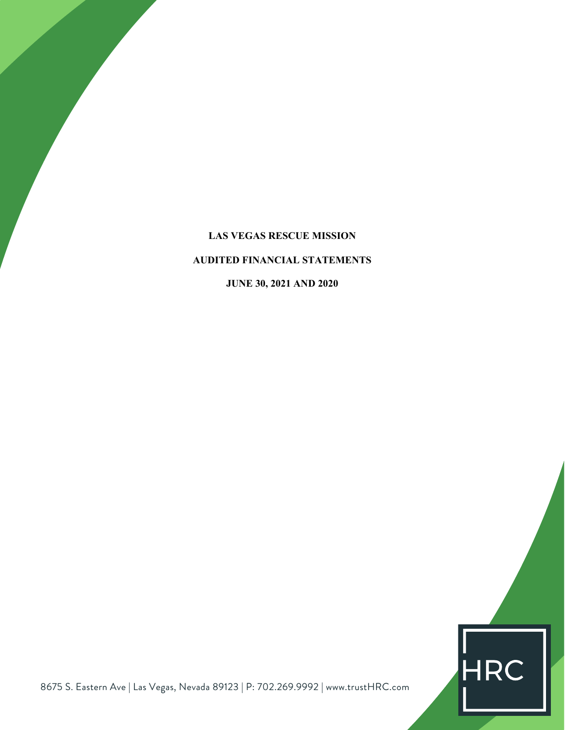



8675 S. Eastern Ave | Las Vegas, Nevada 89123 | P: 702.269.9992 | www.trustHRC.com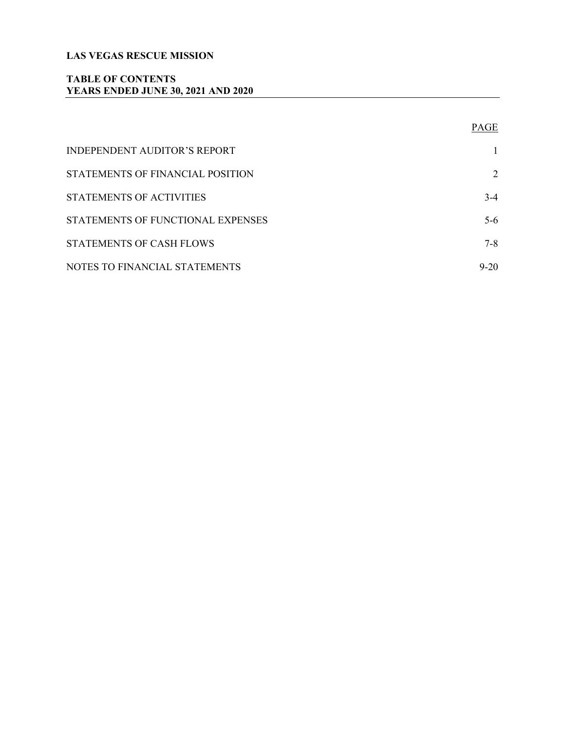## **TABLE OF CONTENTS YEARS ENDED JUNE 30, 2021 AND 2020**

| INDEPENDENT AUDITOR'S REPORT      |          |
|-----------------------------------|----------|
| STATEMENTS OF FINANCIAL POSITION  | 2        |
| STATEMENTS OF ACTIVITIES          | $3-4$    |
| STATEMENTS OF FUNCTIONAL EXPENSES | $5-6$    |
| <b>STATEMENTS OF CASH FLOWS</b>   | $7 - 8$  |
| NOTES TO FINANCIAL STATEMENTS     | $9 - 20$ |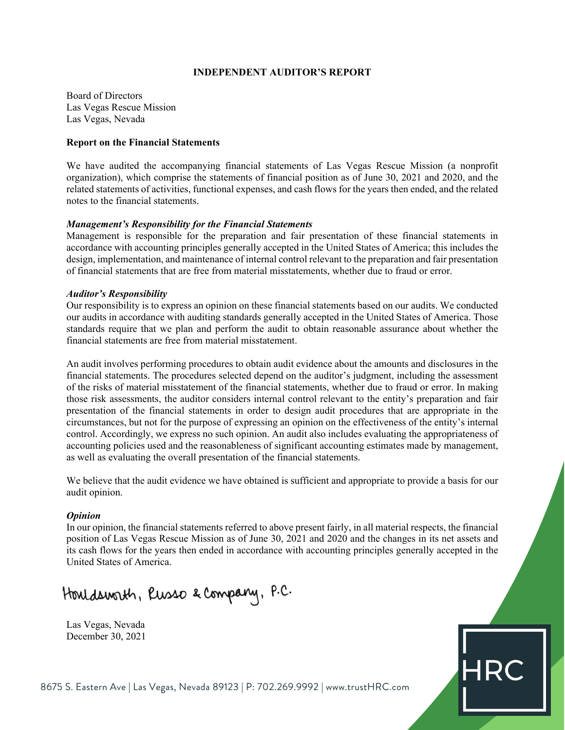#### **INDEPENDENT AUDITOR'S REPORT**

Board of Directors Las Vegas Rescue Mission Las Vegas, Nevada

#### **Report on the Financial Statements**

We have audited the accompanying financial statements of Las Vegas Rescue Mission (a nonprofit organization), which comprise the statements of financial position as of June 30, 2021 and 2020, and the related statements of activities, functional expenses, and cash flows for the years then ended, and the related notes to the financial statements.

#### *Management's Responsibility for the Financial Statements*

Management is responsible for the preparation and fair presentation of these financial statements in accordance with accounting principles generally accepted in the United States of America; this includes the design, implementation, and maintenance of internal control relevant to the preparation and fair presentation of financial statements that are free from material misstatements, whether due to fraud or error.

#### *Auditor's Responsibility*

Our responsibility is to express an opinion on these financial statements based on our audits. We conducted our audits in accordance with auditing standards generally accepted in the United States of America. Those standards require that we plan and perform the audit to obtain reasonable assurance about whether the financial statements are free from material misstatement.

An audit involves performing procedures to obtain audit evidence about the amounts and disclosures in the financial statements. The procedures selected depend on the auditor's judgment, including the assessment of the risks of material misstatement of the financial statements, whether due to fraud or error. In making those risk assessments, the auditor considers internal control relevant to the entity's preparation and fair presentation of the financial statements in order to design audit procedures that are appropriate in the circumstances, but not for the purpose of expressing an opinion on the effectiveness of the entity's internal control. Accordingly, we express no such opinion. An audit also includes evaluating the appropriateness of accounting policies used and the reasonableness of significant accounting estimates made by management, as well as evaluating the overall presentation of the financial statements.

We believe that the audit evidence we have obtained is sufficient and appropriate to provide a basis for our audit opinion.

#### *Opinion*

In our opinion, the financial statements referred to above present fairly, in all material respects, the financial position of Las Vegas Rescue Mission as of June 30, 2021 and 2020 and the changes in its net assets and its cash flows for the years then ended in accordance with accounting principles generally accepted in the United States of America.

Houldsworth, Russo & Company, P.C.

Las Vegas, Nevada December 30, 2021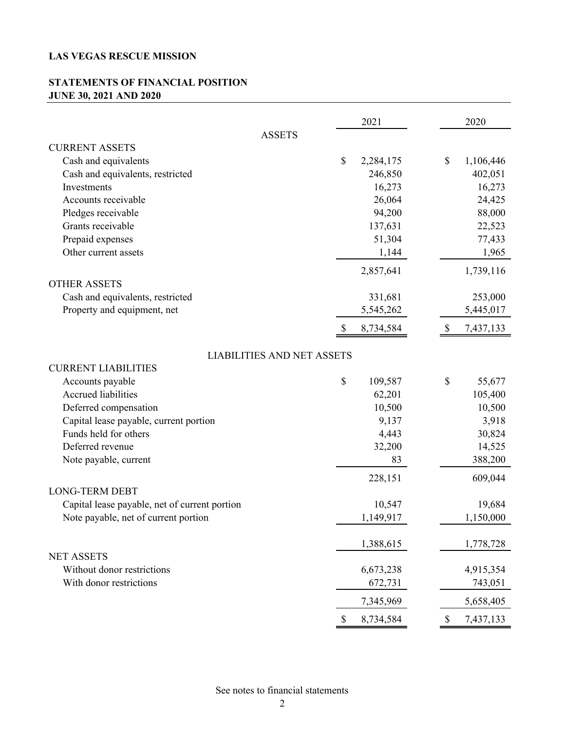## **STATEMENTS OF FINANCIAL POSITION JUNE 30, 2021 AND 2020**

|                                               | 2021            |    | 2020      |
|-----------------------------------------------|-----------------|----|-----------|
| <b>ASSETS</b>                                 |                 |    |           |
| <b>CURRENT ASSETS</b>                         |                 |    |           |
| Cash and equivalents                          | \$<br>2,284,175 | \$ | 1,106,446 |
| Cash and equivalents, restricted              | 246,850         |    | 402,051   |
| Investments                                   | 16,273          |    | 16,273    |
| Accounts receivable                           | 26,064          |    | 24,425    |
| Pledges receivable                            | 94,200          |    | 88,000    |
| Grants receivable                             | 137,631         |    | 22,523    |
| Prepaid expenses                              | 51,304          |    | 77,433    |
| Other current assets                          | 1,144           |    | 1,965     |
|                                               | 2,857,641       |    | 1,739,116 |
| <b>OTHER ASSETS</b>                           |                 |    |           |
| Cash and equivalents, restricted              | 331,681         |    | 253,000   |
| Property and equipment, net                   | 5,545,262       |    | 5,445,017 |
|                                               | 8,734,584       |    | 7,437,133 |
| <b>LIABILITIES AND NET ASSETS</b>             |                 |    |           |
| <b>CURRENT LIABILITIES</b>                    |                 |    |           |
| Accounts payable                              | \$<br>109,587   | \$ | 55,677    |
| <b>Accrued liabilities</b>                    | 62,201          |    | 105,400   |
| Deferred compensation                         | 10,500          |    | 10,500    |
| Capital lease payable, current portion        | 9,137           |    | 3,918     |
| Funds held for others                         | 4,443           |    | 30,824    |
| Deferred revenue                              | 32,200          |    | 14,525    |
| Note payable, current                         | 83              |    | 388,200   |
|                                               | 228,151         |    | 609,044   |
| <b>LONG-TERM DEBT</b>                         |                 |    |           |
| Capital lease payable, net of current portion | 10,547          |    | 19,684    |
| Note payable, net of current portion          | 1,149,917       |    | 1,150,000 |
|                                               |                 |    |           |
|                                               | 1,388,615       |    | 1,778,728 |
| <b>NET ASSETS</b>                             |                 |    |           |
| Without donor restrictions                    | 6,673,238       |    | 4,915,354 |
| With donor restrictions                       | 672,731         |    | 743,051   |
|                                               | 7,345,969       |    | 5,658,405 |
|                                               | \$<br>8,734,584 | \$ | 7,437,133 |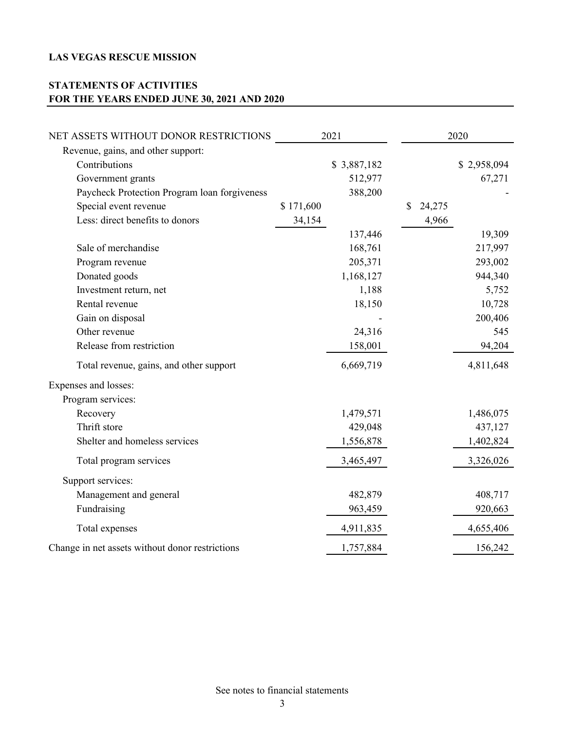# **STATEMENTS OF ACTIVITIES FOR THE YEARS ENDED JUNE 30, 2021 AND 2020**

| NET ASSETS WITHOUT DONOR RESTRICTIONS           |           | 2021        |              | 2020        |
|-------------------------------------------------|-----------|-------------|--------------|-------------|
| Revenue, gains, and other support:              |           |             |              |             |
| Contributions                                   |           | \$3,887,182 |              | \$2,958,094 |
| Government grants                               |           | 512,977     |              | 67,271      |
| Paycheck Protection Program loan forgiveness    |           | 388,200     |              |             |
| Special event revenue                           | \$171,600 |             | 24,275<br>\$ |             |
| Less: direct benefits to donors                 | 34,154    |             | 4,966        |             |
|                                                 |           | 137,446     |              | 19,309      |
| Sale of merchandise                             |           | 168,761     |              | 217,997     |
| Program revenue                                 |           | 205,371     |              | 293,002     |
| Donated goods                                   |           | 1,168,127   |              | 944,340     |
| Investment return, net                          |           | 1,188       |              | 5,752       |
| Rental revenue                                  |           | 18,150      |              | 10,728      |
| Gain on disposal                                |           |             |              | 200,406     |
| Other revenue                                   |           | 24,316      |              | 545         |
| Release from restriction                        |           | 158,001     |              | 94,204      |
| Total revenue, gains, and other support         |           | 6,669,719   |              | 4,811,648   |
| Expenses and losses:                            |           |             |              |             |
| Program services:                               |           |             |              |             |
| Recovery                                        |           | 1,479,571   |              | 1,486,075   |
| Thrift store                                    |           | 429,048     |              | 437,127     |
| Shelter and homeless services                   |           | 1,556,878   |              | 1,402,824   |
| Total program services                          |           | 3,465,497   |              | 3,326,026   |
| Support services:                               |           |             |              |             |
| Management and general                          |           | 482,879     |              | 408,717     |
| Fundraising                                     |           | 963,459     |              | 920,663     |
| Total expenses                                  |           | 4,911,835   |              | 4,655,406   |
| Change in net assets without donor restrictions |           | 1,757,884   |              | 156,242     |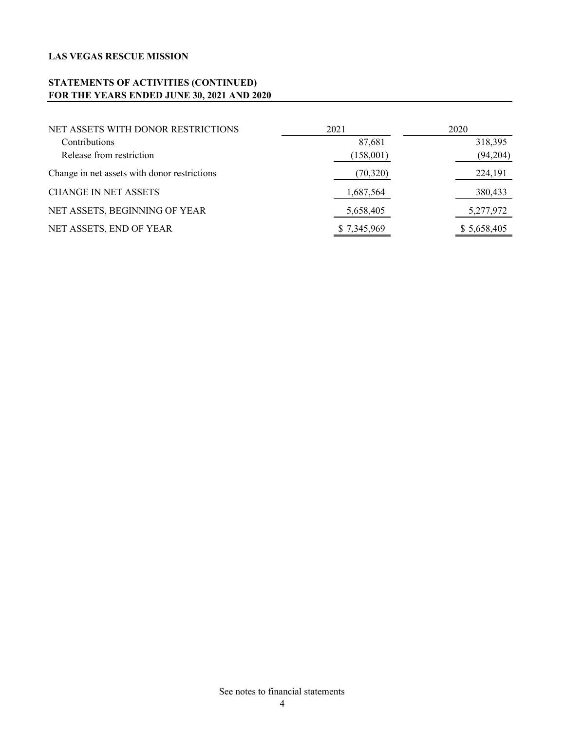## **STATEMENTS OF ACTIVITIES (CONTINUED) FOR THE YEARS ENDED JUNE 30, 2021 AND 2020**

| NET ASSETS WITH DONOR RESTRICTIONS           | 2021        | 2020        |
|----------------------------------------------|-------------|-------------|
| <b>Contributions</b>                         | 87,681      | 318,395     |
| Release from restriction                     | (158,001)   | (94,204)    |
| Change in net assets with donor restrictions | (70, 320)   | 224,191     |
| <b>CHANGE IN NET ASSETS</b>                  | 1,687,564   | 380,433     |
| NET ASSETS, BEGINNING OF YEAR                | 5,658,405   | 5,277,972   |
| NET ASSETS, END OF YEAR                      | \$7,345,969 | \$5,658,405 |

See notes to financial statements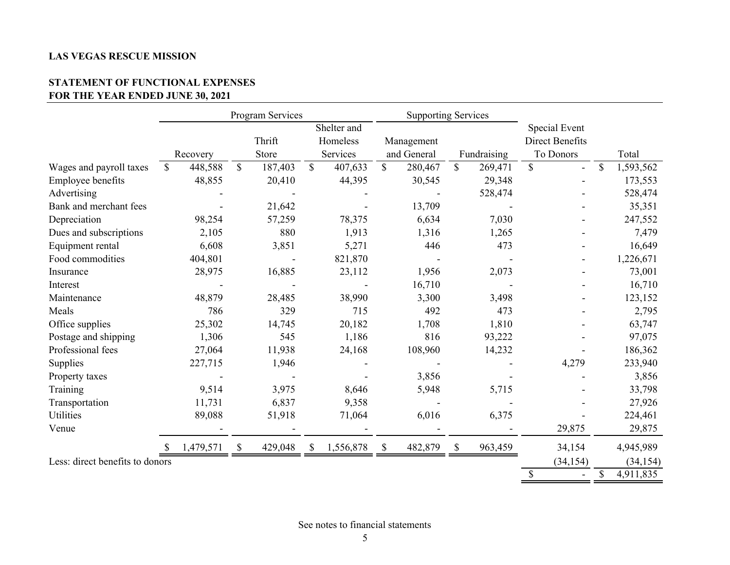## **STATEMENT OF FUNCTIONAL EXPENSESFOR THE YEAR ENDED JUNE 30, 2021**

|                                 | Program Services |           |              |                 | <b>Supporting Services</b> |                                     |              |                           |               |             |                                                      |    |           |
|---------------------------------|------------------|-----------|--------------|-----------------|----------------------------|-------------------------------------|--------------|---------------------------|---------------|-------------|------------------------------------------------------|----|-----------|
|                                 |                  | Recovery  |              | Thrift<br>Store |                            | Shelter and<br>Homeless<br>Services |              | Management<br>and General |               | Fundraising | Special Event<br><b>Direct Benefits</b><br>To Donors |    | Total     |
| Wages and payroll taxes         | $\mathbb{S}$     | 448,588   | $\mathbb{S}$ | 187,403         | $\mathbb{S}$               | 407,633                             | $\mathbb{S}$ | 280,467                   | $\mathcal{S}$ | 269,471     | $\mathcal{S}$<br>$\blacksquare$                      | \$ | 1,593,562 |
| Employee benefits               |                  | 48,855    |              | 20,410          |                            | 44,395                              |              | 30,545                    |               | 29,348      |                                                      |    | 173,553   |
| Advertising                     |                  |           |              |                 |                            |                                     |              |                           |               | 528,474     |                                                      |    | 528,474   |
| Bank and merchant fees          |                  |           |              | 21,642          |                            |                                     |              | 13,709                    |               |             |                                                      |    | 35,351    |
| Depreciation                    |                  | 98,254    |              | 57,259          |                            | 78,375                              |              | 6,634                     |               | 7,030       |                                                      |    | 247,552   |
| Dues and subscriptions          |                  | 2,105     |              | 880             |                            | 1,913                               |              | 1,316                     |               | 1,265       |                                                      |    | 7,479     |
| Equipment rental                |                  | 6,608     |              | 3,851           |                            | 5,271                               |              | 446                       |               | 473         |                                                      |    | 16,649    |
| Food commodities                |                  | 404,801   |              |                 |                            | 821,870                             |              |                           |               |             |                                                      |    | 1,226,671 |
| Insurance                       |                  | 28,975    |              | 16,885          |                            | 23,112                              |              | 1,956                     |               | 2,073       |                                                      |    | 73,001    |
| Interest                        |                  |           |              |                 |                            |                                     |              | 16,710                    |               |             |                                                      |    | 16,710    |
| Maintenance                     |                  | 48,879    |              | 28,485          |                            | 38,990                              |              | 3,300                     |               | 3,498       |                                                      |    | 123,152   |
| Meals                           |                  | 786       |              | 329             |                            | 715                                 |              | 492                       |               | 473         |                                                      |    | 2,795     |
| Office supplies                 |                  | 25,302    |              | 14,745          |                            | 20,182                              |              | 1,708                     |               | 1,810       |                                                      |    | 63,747    |
| Postage and shipping            |                  | 1,306     |              | 545             |                            | 1,186                               |              | 816                       |               | 93,222      |                                                      |    | 97,075    |
| Professional fees               |                  | 27,064    |              | 11,938          |                            | 24,168                              |              | 108,960                   |               | 14,232      |                                                      |    | 186,362   |
| Supplies                        |                  | 227,715   |              | 1,946           |                            |                                     |              |                           |               |             | 4,279                                                |    | 233,940   |
| Property taxes                  |                  |           |              |                 |                            |                                     |              | 3,856                     |               |             |                                                      |    | 3,856     |
| Training                        |                  | 9,514     |              | 3,975           |                            | 8,646                               |              | 5,948                     |               | 5,715       |                                                      |    | 33,798    |
| Transportation                  |                  | 11,731    |              | 6,837           |                            | 9,358                               |              |                           |               |             |                                                      |    | 27,926    |
| Utilities                       |                  | 89,088    |              | 51,918          |                            | 71,064                              |              | 6,016                     |               | 6,375       |                                                      |    | 224,461   |
| Venue                           |                  |           |              |                 |                            |                                     |              |                           |               |             | 29,875                                               |    | 29,875    |
|                                 |                  | 1,479,571 | \$           | 429,048         | \$                         | 1,556,878                           | \$           | 482,879                   | $\mathcal{S}$ | 963,459     | 34,154                                               |    | 4,945,989 |
| Less: direct benefits to donors |                  |           |              |                 |                            |                                     |              |                           |               |             | (34, 154)                                            |    | (34, 154) |
|                                 |                  |           |              |                 |                            |                                     |              |                           |               |             | S                                                    | \$ | 4,911,835 |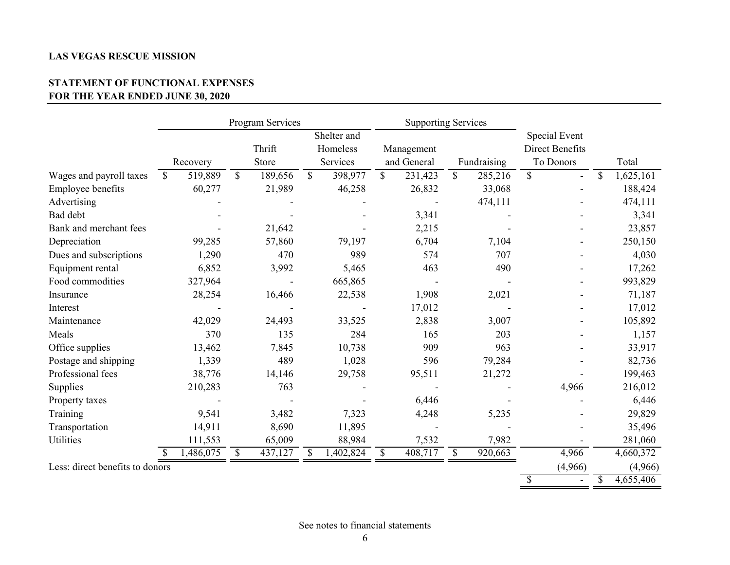## **STATEMENT OF FUNCTIONAL EXPENSES FOR THE YEAR ENDED JUNE 30, 2020**

|                                 | Program Services |           |              |         |               | <b>Supporting Services</b> |              |             |              |             |              |                                                |    |           |
|---------------------------------|------------------|-----------|--------------|---------|---------------|----------------------------|--------------|-------------|--------------|-------------|--------------|------------------------------------------------|----|-----------|
|                                 |                  |           |              | Thrift  |               | Shelter and<br>Homeless    |              | Management  |              |             |              | <b>Special Event</b><br><b>Direct Benefits</b> |    |           |
|                                 |                  | Recovery  |              | Store   |               | Services                   |              | and General |              | Fundraising |              | To Donors                                      |    | Total     |
| Wages and payroll taxes         | $\mathbb{S}$     | 519,889   | <sup>S</sup> | 189,656 | $\mathbb{S}$  | 398,977                    | $\mathbb{S}$ | 231,423     | $\mathbb{S}$ | 285,216     | $\mathbb{S}$ | $\blacksquare$                                 | \$ | 1,625,161 |
| Employee benefits               |                  | 60,277    |              | 21,989  |               | 46,258                     |              | 26,832      |              | 33,068      |              |                                                |    | 188,424   |
| Advertising                     |                  |           |              |         |               |                            |              |             |              | 474,111     |              |                                                |    | 474,111   |
| Bad debt                        |                  |           |              |         |               |                            |              | 3,341       |              |             |              |                                                |    | 3,341     |
| Bank and merchant fees          |                  |           |              | 21,642  |               |                            |              | 2,215       |              |             |              |                                                |    | 23,857    |
| Depreciation                    |                  | 99,285    |              | 57,860  |               | 79,197                     |              | 6,704       |              | 7,104       |              |                                                |    | 250,150   |
| Dues and subscriptions          |                  | 1,290     |              | 470     |               | 989                        |              | 574         |              | 707         |              |                                                |    | 4,030     |
| Equipment rental                |                  | 6,852     |              | 3,992   |               | 5,465                      |              | 463         |              | 490         |              |                                                |    | 17,262    |
| Food commodities                |                  | 327,964   |              |         |               | 665,865                    |              |             |              |             |              |                                                |    | 993,829   |
| Insurance                       |                  | 28,254    |              | 16,466  |               | 22,538                     |              | 1,908       |              | 2,021       |              |                                                |    | 71,187    |
| Interest                        |                  |           |              |         |               |                            |              | 17,012      |              |             |              |                                                |    | 17,012    |
| Maintenance                     |                  | 42,029    |              | 24,493  |               | 33,525                     |              | 2,838       |              | 3,007       |              |                                                |    | 105,892   |
| Meals                           |                  | 370       |              | 135     |               | 284                        |              | 165         |              | 203         |              |                                                |    | 1,157     |
| Office supplies                 |                  | 13,462    |              | 7,845   |               | 10,738                     |              | 909         |              | 963         |              |                                                |    | 33,917    |
| Postage and shipping            |                  | 1,339     |              | 489     |               | 1,028                      |              | 596         |              | 79,284      |              |                                                |    | 82,736    |
| Professional fees               |                  | 38,776    |              | 14,146  |               | 29,758                     |              | 95,511      |              | 21,272      |              |                                                |    | 199,463   |
| Supplies                        |                  | 210,283   |              | 763     |               |                            |              |             |              |             |              | 4,966                                          |    | 216,012   |
| Property taxes                  |                  |           |              |         |               |                            |              | 6,446       |              |             |              |                                                |    | 6,446     |
| Training                        |                  | 9,541     |              | 3,482   |               | 7,323                      |              | 4,248       |              | 5,235       |              |                                                |    | 29,829    |
| Transportation                  |                  | 14,911    |              | 8,690   |               | 11,895                     |              |             |              |             |              |                                                |    | 35,496    |
| Utilities                       |                  | 111,553   |              | 65,009  |               | 88,984                     |              | 7,532       |              | 7,982       |              |                                                |    | 281,060   |
|                                 |                  | 1,486,075 | \$           | 437,127 | <sup>\$</sup> | 1,402,824                  | \$           | 408,717     | \$           | 920,663     |              | 4,966                                          |    | 4,660,372 |
| Less: direct benefits to donors |                  |           |              |         |               |                            |              |             |              |             |              | (4,966)                                        |    | (4,966)   |
|                                 |                  |           |              |         |               |                            |              |             |              |             | \$           |                                                | \$ | 4,655,406 |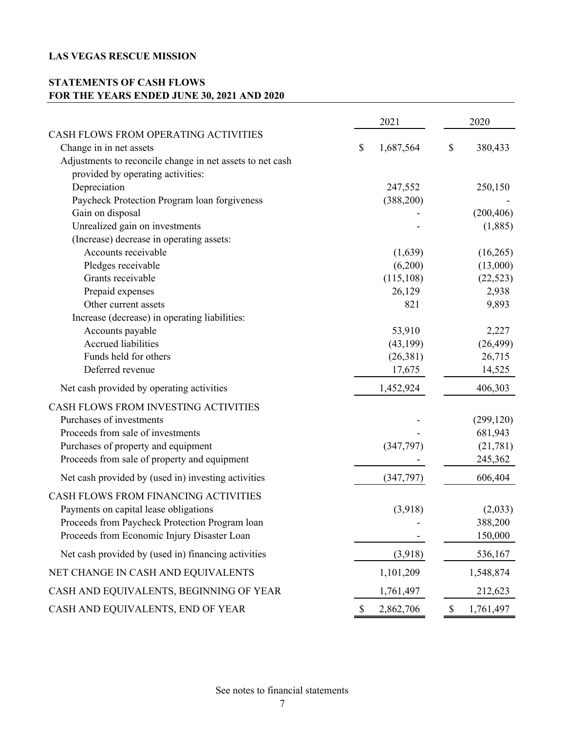## **STATEMENTS OF CASH FLOWS FOR THE YEARS ENDED JUNE 30, 2021 AND 2020**

|                                                           | 2021            | 2020            |
|-----------------------------------------------------------|-----------------|-----------------|
| CASH FLOWS FROM OPERATING ACTIVITIES                      |                 |                 |
| Change in in net assets                                   | \$<br>1,687,564 | \$<br>380,433   |
| Adjustments to reconcile change in net assets to net cash |                 |                 |
| provided by operating activities:                         |                 |                 |
| Depreciation                                              | 247,552         | 250,150         |
| Paycheck Protection Program loan forgiveness              | (388,200)       |                 |
| Gain on disposal                                          |                 | (200, 406)      |
| Unrealized gain on investments                            |                 | (1,885)         |
| (Increase) decrease in operating assets:                  |                 |                 |
| Accounts receivable                                       | (1,639)         | (16,265)        |
| Pledges receivable                                        | (6,200)         | (13,000)        |
| Grants receivable                                         | (115, 108)      | (22, 523)       |
| Prepaid expenses                                          | 26,129          | 2,938           |
| Other current assets                                      | 821             | 9,893           |
| Increase (decrease) in operating liabilities:             |                 |                 |
| Accounts payable                                          | 53,910          | 2,227           |
| <b>Accrued liabilities</b>                                | (43, 199)       | (26, 499)       |
| Funds held for others                                     | (26,381)        | 26,715          |
| Deferred revenue                                          | 17,675          | 14,525          |
| Net cash provided by operating activities                 | 1,452,924       | 406,303         |
| CASH FLOWS FROM INVESTING ACTIVITIES                      |                 |                 |
| Purchases of investments                                  |                 | (299, 120)      |
| Proceeds from sale of investments                         |                 | 681,943         |
| Purchases of property and equipment                       | (347,797)       | (21,781)        |
| Proceeds from sale of property and equipment              |                 | 245,362         |
| Net cash provided by (used in) investing activities       | (347,797)       | 606,404         |
| CASH FLOWS FROM FINANCING ACTIVITIES                      |                 |                 |
| Payments on capital lease obligations                     | (3,918)         | (2,033)         |
| Proceeds from Paycheck Protection Program loan            |                 | 388,200         |
| Proceeds from Economic Injury Disaster Loan               |                 | 150,000         |
| Net cash provided by (used in) financing activities       | (3,918)         | 536,167         |
| NET CHANGE IN CASH AND EQUIVALENTS                        | 1,101,209       | 1,548,874       |
| CASH AND EQUIVALENTS, BEGINNING OF YEAR                   | 1,761,497       | 212,623         |
| CASH AND EQUIVALENTS, END OF YEAR                         | \$<br>2,862,706 | \$<br>1,761,497 |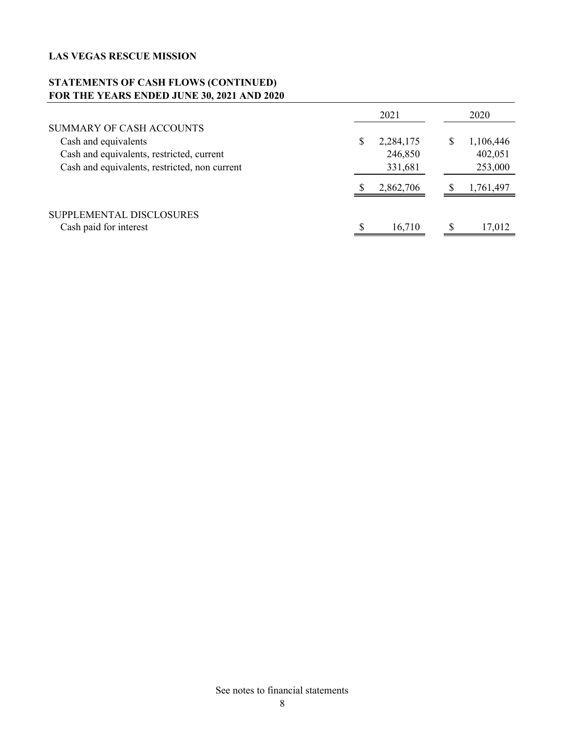## **STATEMENTS OF CASH FLOWS (CONTINUED) FOR THE YEARS ENDED JUNE 30, 2021 AND 2020**

|                                               |   | 2021      |    | 2020      |
|-----------------------------------------------|---|-----------|----|-----------|
| SUMMARY OF CASH ACCOUNTS                      |   |           |    |           |
| Cash and equivalents                          | S | 2,284,175 | \$ | 1,106,446 |
| Cash and equivalents, restricted, current     |   | 246,850   |    | 402,051   |
| Cash and equivalents, restricted, non current |   | 331,681   |    | 253,000   |
|                                               |   | 2,862,706 | S  | 1,761,497 |
| SUPPLEMENTAL DISCLOSURES                      |   |           |    |           |
| Cash paid for interest                        | S | 16,710    |    | 17,012    |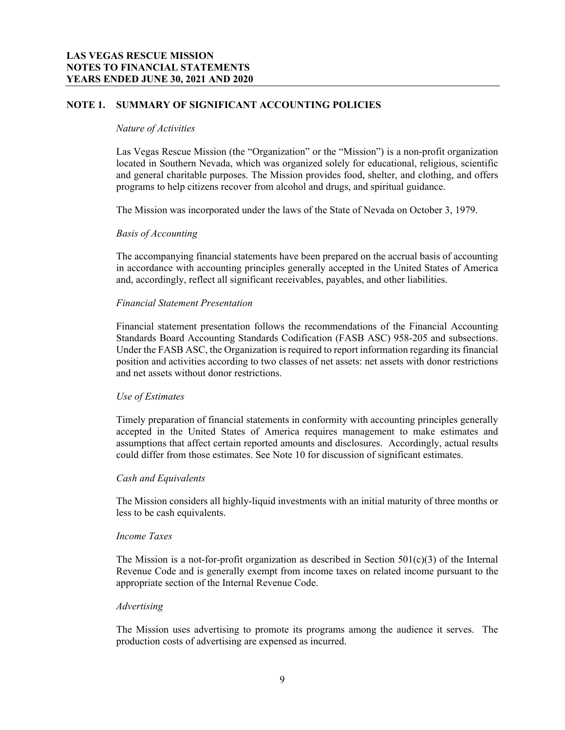#### **NOTE 1. SUMMARY OF SIGNIFICANT ACCOUNTING POLICIES**

#### *Nature of Activities*

Las Vegas Rescue Mission (the "Organization" or the "Mission") is a non-profit organization located in Southern Nevada, which was organized solely for educational, religious, scientific and general charitable purposes. The Mission provides food, shelter, and clothing, and offers programs to help citizens recover from alcohol and drugs, and spiritual guidance.

The Mission was incorporated under the laws of the State of Nevada on October 3, 1979.

#### *Basis of Accounting*

The accompanying financial statements have been prepared on the accrual basis of accounting in accordance with accounting principles generally accepted in the United States of America and, accordingly, reflect all significant receivables, payables, and other liabilities.

#### *Financial Statement Presentation*

Financial statement presentation follows the recommendations of the Financial Accounting Standards Board Accounting Standards Codification (FASB ASC) 958-205 and subsections. Under the FASB ASC, the Organization is required to report information regarding its financial position and activities according to two classes of net assets: net assets with donor restrictions and net assets without donor restrictions.

#### *Use of Estimates*

Timely preparation of financial statements in conformity with accounting principles generally accepted in the United States of America requires management to make estimates and assumptions that affect certain reported amounts and disclosures. Accordingly, actual results could differ from those estimates. See Note 10 for discussion of significant estimates.

#### *Cash and Equivalents*

The Mission considers all highly-liquid investments with an initial maturity of three months or less to be cash equivalents.

#### *Income Taxes*

The Mission is a not-for-profit organization as described in Section  $501(c)(3)$  of the Internal Revenue Code and is generally exempt from income taxes on related income pursuant to the appropriate section of the Internal Revenue Code.

#### *Advertising*

The Mission uses advertising to promote its programs among the audience it serves. The production costs of advertising are expensed as incurred.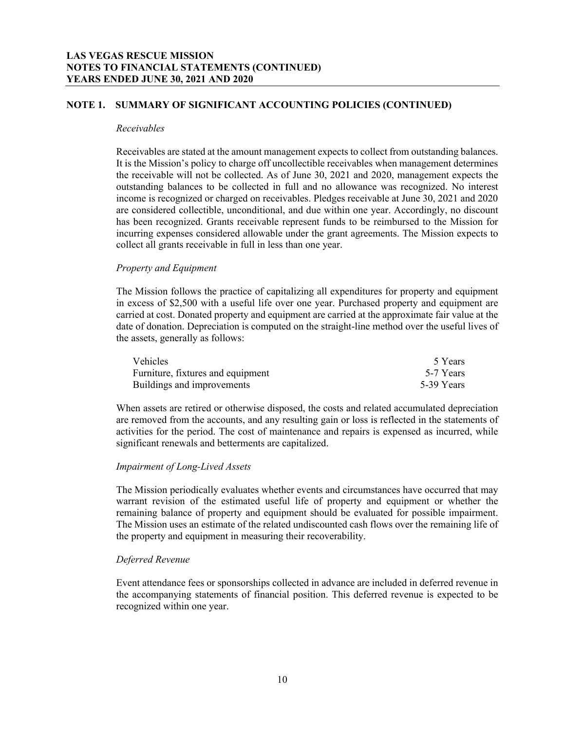#### **NOTE 1. SUMMARY OF SIGNIFICANT ACCOUNTING POLICIES (CONTINUED)**

#### *Receivables*

Receivables are stated at the amount management expects to collect from outstanding balances. It is the Mission's policy to charge off uncollectible receivables when management determines the receivable will not be collected. As of June 30, 2021 and 2020, management expects the outstanding balances to be collected in full and no allowance was recognized. No interest income is recognized or charged on receivables. Pledges receivable at June 30, 2021 and 2020 are considered collectible, unconditional, and due within one year. Accordingly, no discount has been recognized. Grants receivable represent funds to be reimbursed to the Mission for incurring expenses considered allowable under the grant agreements. The Mission expects to collect all grants receivable in full in less than one year.

#### *Property and Equipment*

The Mission follows the practice of capitalizing all expenditures for property and equipment in excess of \$2,500 with a useful life over one year. Purchased property and equipment are carried at cost. Donated property and equipment are carried at the approximate fair value at the date of donation. Depreciation is computed on the straight-line method over the useful lives of the assets, generally as follows:

| <b>Vehicles</b>                   | 5 Years    |
|-----------------------------------|------------|
| Furniture, fixtures and equipment | 5-7 Years  |
| Buildings and improvements        | 5-39 Years |

When assets are retired or otherwise disposed, the costs and related accumulated depreciation are removed from the accounts, and any resulting gain or loss is reflected in the statements of activities for the period. The cost of maintenance and repairs is expensed as incurred, while significant renewals and betterments are capitalized.

#### *Impairment of Long-Lived Assets*

The Mission periodically evaluates whether events and circumstances have occurred that may warrant revision of the estimated useful life of property and equipment or whether the remaining balance of property and equipment should be evaluated for possible impairment. The Mission uses an estimate of the related undiscounted cash flows over the remaining life of the property and equipment in measuring their recoverability.

### *Deferred Revenue*

Event attendance fees or sponsorships collected in advance are included in deferred revenue in the accompanying statements of financial position. This deferred revenue is expected to be recognized within one year.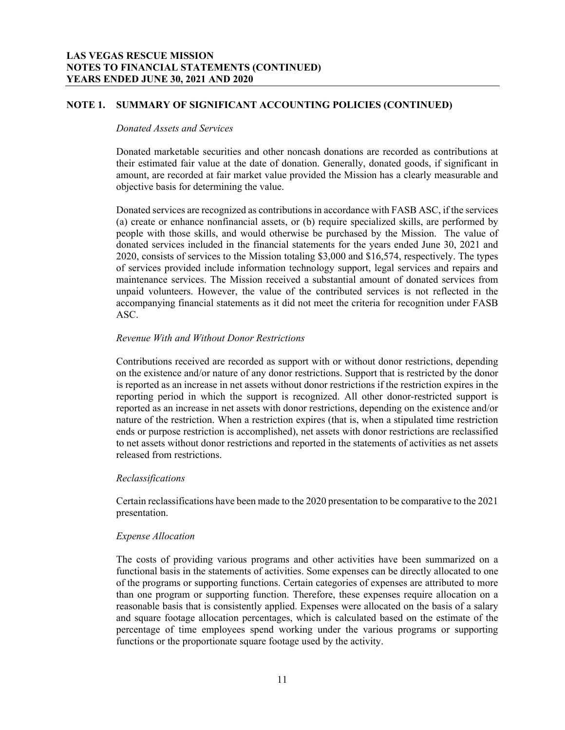#### **NOTE 1. SUMMARY OF SIGNIFICANT ACCOUNTING POLICIES (CONTINUED)**

#### *Donated Assets and Services*

Donated marketable securities and other noncash donations are recorded as contributions at their estimated fair value at the date of donation. Generally, donated goods, if significant in amount, are recorded at fair market value provided the Mission has a clearly measurable and objective basis for determining the value.

Donated services are recognized as contributions in accordance with FASB ASC, if the services (a) create or enhance nonfinancial assets, or (b) require specialized skills, are performed by people with those skills, and would otherwise be purchased by the Mission. The value of donated services included in the financial statements for the years ended June 30, 2021 and 2020, consists of services to the Mission totaling \$3,000 and \$16,574, respectively. The types of services provided include information technology support, legal services and repairs and maintenance services. The Mission received a substantial amount of donated services from unpaid volunteers. However, the value of the contributed services is not reflected in the accompanying financial statements as it did not meet the criteria for recognition under FASB ASC.

#### *Revenue With and Without Donor Restrictions*

Contributions received are recorded as support with or without donor restrictions, depending on the existence and/or nature of any donor restrictions. Support that is restricted by the donor is reported as an increase in net assets without donor restrictions if the restriction expires in the reporting period in which the support is recognized. All other donor-restricted support is reported as an increase in net assets with donor restrictions, depending on the existence and/or nature of the restriction. When a restriction expires (that is, when a stipulated time restriction ends or purpose restriction is accomplished), net assets with donor restrictions are reclassified to net assets without donor restrictions and reported in the statements of activities as net assets released from restrictions.

#### *Reclassifications*

Certain reclassifications have been made to the 2020 presentation to be comparative to the 2021 presentation.

#### *Expense Allocation*

The costs of providing various programs and other activities have been summarized on a functional basis in the statements of activities. Some expenses can be directly allocated to one of the programs or supporting functions. Certain categories of expenses are attributed to more than one program or supporting function. Therefore, these expenses require allocation on a reasonable basis that is consistently applied. Expenses were allocated on the basis of a salary and square footage allocation percentages, which is calculated based on the estimate of the percentage of time employees spend working under the various programs or supporting functions or the proportionate square footage used by the activity.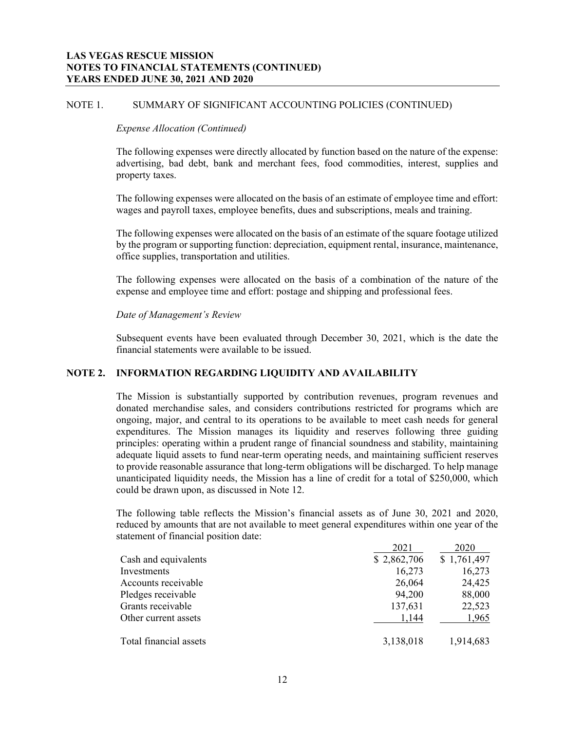#### NOTE 1. SUMMARY OF SIGNIFICANT ACCOUNTING POLICIES (CONTINUED)

#### *Expense Allocation (Continued)*

The following expenses were directly allocated by function based on the nature of the expense: advertising, bad debt, bank and merchant fees, food commodities, interest, supplies and property taxes.

The following expenses were allocated on the basis of an estimate of employee time and effort: wages and payroll taxes, employee benefits, dues and subscriptions, meals and training.

The following expenses were allocated on the basis of an estimate of the square footage utilized by the program or supporting function: depreciation, equipment rental, insurance, maintenance, office supplies, transportation and utilities.

The following expenses were allocated on the basis of a combination of the nature of the expense and employee time and effort: postage and shipping and professional fees.

*Date of Management's Review* 

Subsequent events have been evaluated through December 30, 2021, which is the date the financial statements were available to be issued.

#### **NOTE 2. INFORMATION REGARDING LIQUIDITY AND AVAILABILITY**

The Mission is substantially supported by contribution revenues, program revenues and donated merchandise sales, and considers contributions restricted for programs which are ongoing, major, and central to its operations to be available to meet cash needs for general expenditures. The Mission manages its liquidity and reserves following three guiding principles: operating within a prudent range of financial soundness and stability, maintaining adequate liquid assets to fund near-term operating needs, and maintaining sufficient reserves to provide reasonable assurance that long-term obligations will be discharged. To help manage unanticipated liquidity needs, the Mission has a line of credit for a total of \$250,000, which could be drawn upon, as discussed in Note 12.

The following table reflects the Mission's financial assets as of June 30, 2021 and 2020, reduced by amounts that are not available to meet general expenditures within one year of the statement of financial position date:

|                        | 2021        | 2020        |
|------------------------|-------------|-------------|
| Cash and equivalents   | \$2,862,706 | \$1,761,497 |
| Investments            | 16,273      | 16,273      |
| Accounts receivable    | 26,064      | 24,425      |
| Pledges receivable     | 94,200      | 88,000      |
| Grants receivable      | 137,631     | 22,523      |
| Other current assets   | 1.144       | 1,965       |
|                        |             |             |
| Total financial assets | 3,138,018   | 1,914,683   |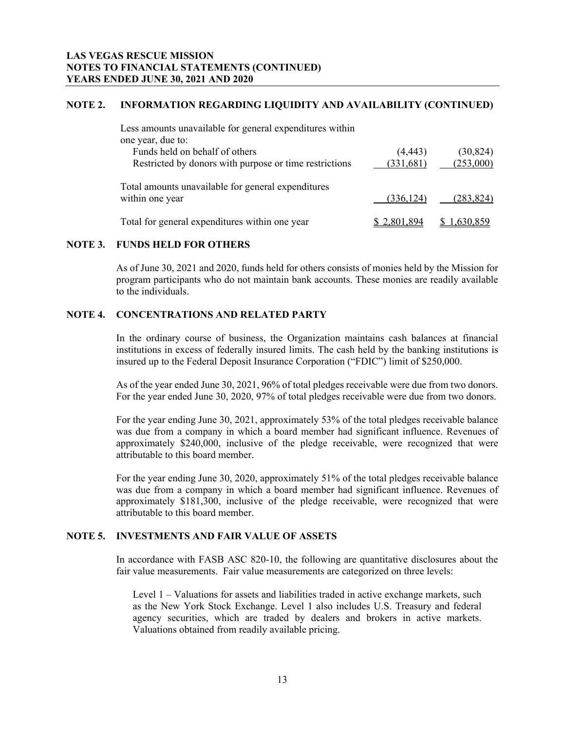#### **NOTE 2. INFORMATION REGARDING LIQUIDITY AND AVAILABILITY (CONTINUED)**

| Less amounts unavailable for general expenditures within |            |            |
|----------------------------------------------------------|------------|------------|
| one year, due to:                                        |            |            |
| Funds held on behalf of others                           | (4, 443)   | (30, 824)  |
| Restricted by donors with purpose or time restrictions   | (331,681)  | (253,000)  |
| Total amounts unavailable for general expenditures       |            |            |
| within one year                                          | (336, 124) | (283, 824) |
| Total for general expenditures within one year           | 2,801,894  |            |

#### **NOTE 3. FUNDS HELD FOR OTHERS**

As of June 30, 2021 and 2020, funds held for others consists of monies held by the Mission for program participants who do not maintain bank accounts. These monies are readily available to the individuals.

### **NOTE 4. CONCENTRATIONS AND RELATED PARTY**

In the ordinary course of business, the Organization maintains cash balances at financial institutions in excess of federally insured limits. The cash held by the banking institutions is insured up to the Federal Deposit Insurance Corporation ("FDIC") limit of \$250,000.

As of the year ended June 30, 2021, 96% of total pledges receivable were due from two donors. For the year ended June 30, 2020, 97% of total pledges receivable were due from two donors.

For the year ending June 30, 2021, approximately 53% of the total pledges receivable balance was due from a company in which a board member had significant influence. Revenues of approximately \$240,000, inclusive of the pledge receivable, were recognized that were attributable to this board member.

For the year ending June 30, 2020, approximately 51% of the total pledges receivable balance was due from a company in which a board member had significant influence. Revenues of approximately \$181,300, inclusive of the pledge receivable, were recognized that were attributable to this board member.

### **NOTE 5. INVESTMENTS AND FAIR VALUE OF ASSETS**

In accordance with FASB ASC 820-10, the following are quantitative disclosures about the fair value measurements. Fair value measurements are categorized on three levels:

Level 1 – Valuations for assets and liabilities traded in active exchange markets, such as the New York Stock Exchange. Level 1 also includes U.S. Treasury and federal agency securities, which are traded by dealers and brokers in active markets. Valuations obtained from readily available pricing.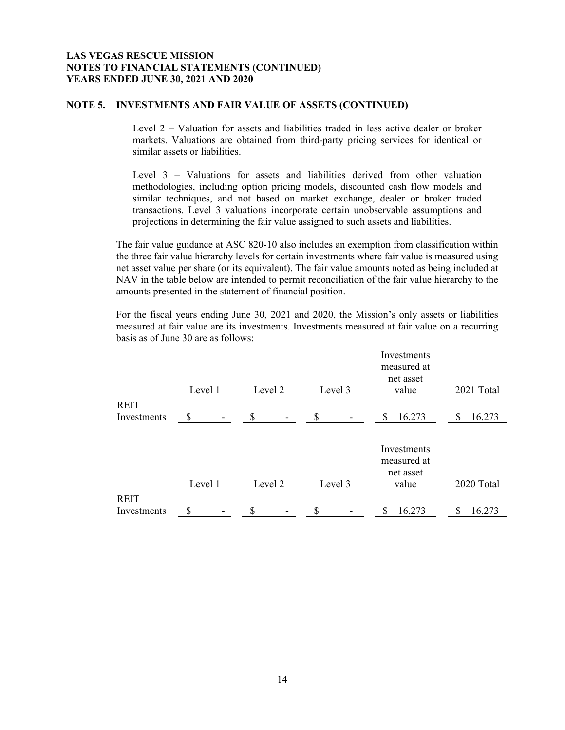#### **NOTE 5. INVESTMENTS AND FAIR VALUE OF ASSETS (CONTINUED)**

Level 2 – Valuation for assets and liabilities traded in less active dealer or broker markets. Valuations are obtained from third-party pricing services for identical or similar assets or liabilities.

Level 3 – Valuations for assets and liabilities derived from other valuation methodologies, including option pricing models, discounted cash flow models and similar techniques, and not based on market exchange, dealer or broker traded transactions. Level 3 valuations incorporate certain unobservable assumptions and projections in determining the fair value assigned to such assets and liabilities.

The fair value guidance at ASC 820-10 also includes an exemption from classification within the three fair value hierarchy levels for certain investments where fair value is measured using net asset value per share (or its equivalent). The fair value amounts noted as being included at NAV in the table below are intended to permit reconciliation of the fair value hierarchy to the amounts presented in the statement of financial position.

For the fiscal years ending June 30, 2021 and 2020, the Mission's only assets or liabilities measured at fair value are its investments. Investments measured at fair value on a recurring basis as of June 30 are as follows:

|                            | Level 1 | Level 2 | Level 3 | Investments<br>measured at<br>net asset<br>value | 2021 Total |
|----------------------------|---------|---------|---------|--------------------------------------------------|------------|
| <b>REIT</b><br>Investments |         |         | S       | 16,273                                           | 16,273     |
|                            | Level 1 | Level 2 | Level 3 | Investments<br>measured at<br>net asset<br>value | 2020 Total |
| <b>REIT</b><br>Investments |         |         |         | 16,273                                           | 16,273     |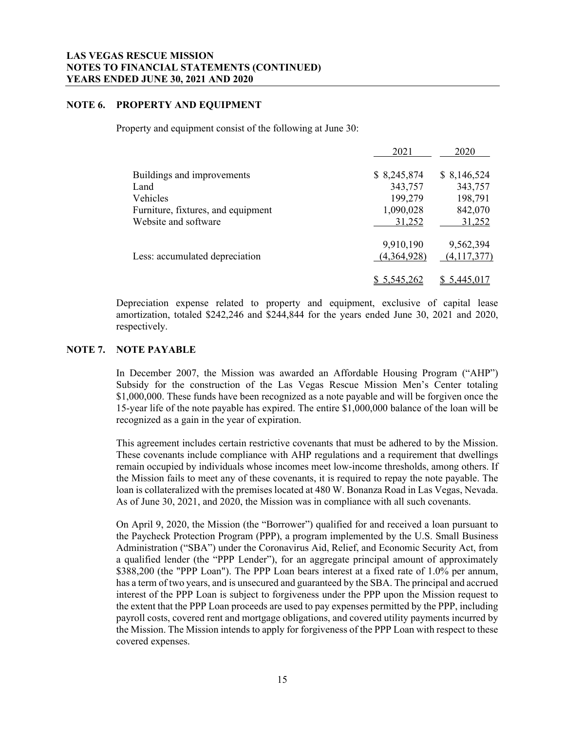#### **NOTE 6. PROPERTY AND EQUIPMENT**

Property and equipment consist of the following at June 30:

|                                    | 2021        | 2020        |
|------------------------------------|-------------|-------------|
| Buildings and improvements         | \$8,245,874 | \$8,146,524 |
| Land                               | 343,757     | 343,757     |
| Vehicles                           | 199,279     | 198,791     |
| Furniture, fixtures, and equipment | 1,090,028   | 842,070     |
| Website and software               | 31,252      | 31,252      |
|                                    | 9,910,190   | 9,562,394   |
| Less: accumulated depreciation     | (4,364,928) | (4,117,377) |
|                                    | \$5,545,262 | 5,445,017   |
|                                    |             |             |

Depreciation expense related to property and equipment, exclusive of capital lease amortization, totaled \$242,246 and \$244,844 for the years ended June 30, 2021 and 2020, respectively.

### **NOTE 7. NOTE PAYABLE**

In December 2007, the Mission was awarded an Affordable Housing Program ("AHP") Subsidy for the construction of the Las Vegas Rescue Mission Men's Center totaling \$1,000,000. These funds have been recognized as a note payable and will be forgiven once the 15-year life of the note payable has expired. The entire \$1,000,000 balance of the loan will be recognized as a gain in the year of expiration.

This agreement includes certain restrictive covenants that must be adhered to by the Mission. These covenants include compliance with AHP regulations and a requirement that dwellings remain occupied by individuals whose incomes meet low-income thresholds, among others. If the Mission fails to meet any of these covenants, it is required to repay the note payable. The loan is collateralized with the premises located at 480 W. Bonanza Road in Las Vegas, Nevada. As of June 30, 2021, and 2020, the Mission was in compliance with all such covenants.

On April 9, 2020, the Mission (the "Borrower") qualified for and received a loan pursuant to the Paycheck Protection Program (PPP), a program implemented by the U.S. Small Business Administration ("SBA") under the Coronavirus Aid, Relief, and Economic Security Act, from a qualified lender (the "PPP Lender"), for an aggregate principal amount of approximately \$388,200 (the "PPP Loan"). The PPP Loan bears interest at a fixed rate of 1.0% per annum, has a term of two years, and is unsecured and guaranteed by the SBA. The principal and accrued interest of the PPP Loan is subject to forgiveness under the PPP upon the Mission request to the extent that the PPP Loan proceeds are used to pay expenses permitted by the PPP, including payroll costs, covered rent and mortgage obligations, and covered utility payments incurred by the Mission. The Mission intends to apply for forgiveness of the PPP Loan with respect to these covered expenses.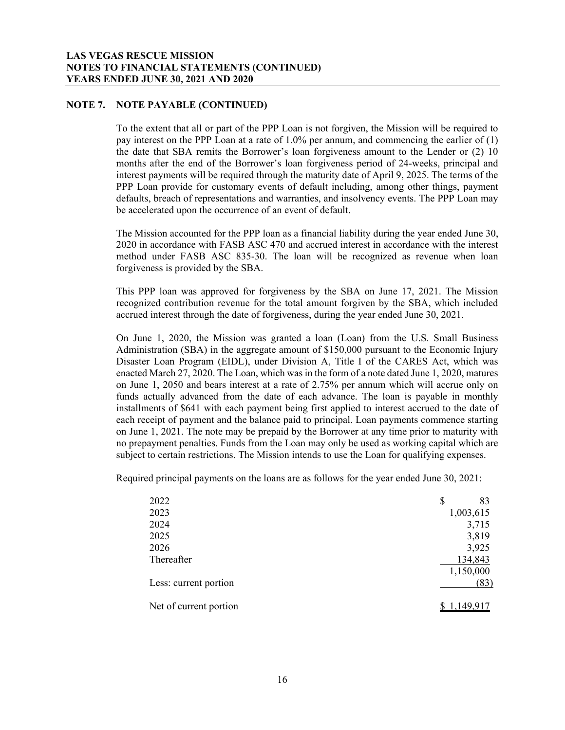#### **NOTE 7. NOTE PAYABLE (CONTINUED)**

To the extent that all or part of the PPP Loan is not forgiven, the Mission will be required to pay interest on the PPP Loan at a rate of 1.0% per annum, and commencing the earlier of (1) the date that SBA remits the Borrower's loan forgiveness amount to the Lender or (2) 10 months after the end of the Borrower's loan forgiveness period of 24-weeks, principal and interest payments will be required through the maturity date of April 9, 2025. The terms of the PPP Loan provide for customary events of default including, among other things, payment defaults, breach of representations and warranties, and insolvency events. The PPP Loan may be accelerated upon the occurrence of an event of default.

The Mission accounted for the PPP loan as a financial liability during the year ended June 30, 2020 in accordance with FASB ASC 470 and accrued interest in accordance with the interest method under FASB ASC 835-30. The loan will be recognized as revenue when loan forgiveness is provided by the SBA.

This PPP loan was approved for forgiveness by the SBA on June 17, 2021. The Mission recognized contribution revenue for the total amount forgiven by the SBA, which included accrued interest through the date of forgiveness, during the year ended June 30, 2021.

On June 1, 2020, the Mission was granted a loan (Loan) from the U.S. Small Business Administration (SBA) in the aggregate amount of \$150,000 pursuant to the Economic Injury Disaster Loan Program (EIDL), under Division A, Title I of the CARES Act, which was enacted March 27, 2020. The Loan, which was in the form of a note dated June 1, 2020, matures on June 1, 2050 and bears interest at a rate of 2.75% per annum which will accrue only on funds actually advanced from the date of each advance. The loan is payable in monthly installments of \$641 with each payment being first applied to interest accrued to the date of each receipt of payment and the balance paid to principal. Loan payments commence starting on June 1, 2021. The note may be prepaid by the Borrower at any time prior to maturity with no prepayment penalties. Funds from the Loan may only be used as working capital which are subject to certain restrictions. The Mission intends to use the Loan for qualifying expenses.

Required principal payments on the loans are as follows for the year ended June 30, 2021:

| 2022                   | \$<br>83  |
|------------------------|-----------|
| 2023                   | 1,003,615 |
| 2024                   | 3,715     |
| 2025                   | 3,819     |
| 2026                   | 3,925     |
| Thereafter             | 134,843   |
|                        | 1,150,000 |
| Less: current portion  | (83)      |
| Net of current portion |           |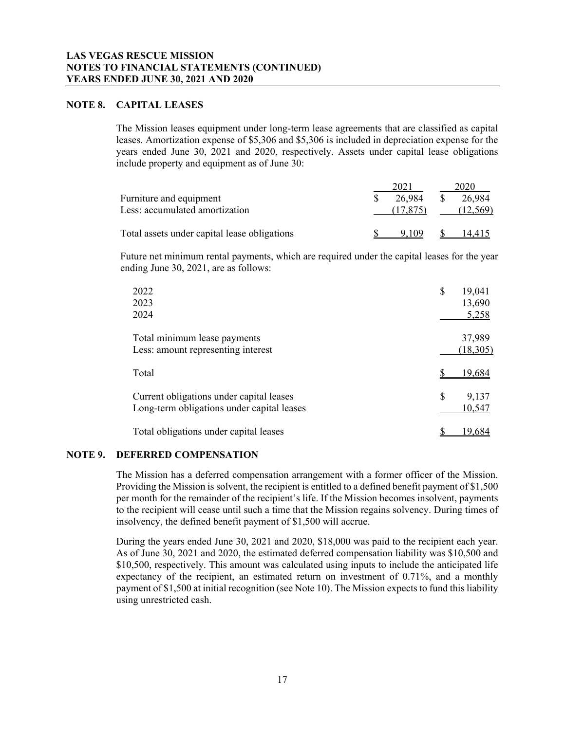#### **NOTE 8. CAPITAL LEASES**

The Mission leases equipment under long-term lease agreements that are classified as capital leases. Amortization expense of \$5,306 and \$5,306 is included in depreciation expense for the years ended June 30, 2021 and 2020, respectively. Assets under capital lease obligations include property and equipment as of June 30:

| Furniture and equipment                      | 26.984    | 26.984<br>-S |
|----------------------------------------------|-----------|--------------|
| Less: accumulated amortization               | (17, 875) | (12.569)     |
| Total assets under capital lease obligations |           |              |

Future net minimum rental payments, which are required under the capital leases for the year ending June 30, 2021, are as follows:

| 2022<br>2023<br>2024                                                                   | \$<br>19,041<br>13,690<br>5,258 |
|----------------------------------------------------------------------------------------|---------------------------------|
| Total minimum lease payments<br>Less: amount representing interest                     | 37,989<br>(18, 305)             |
| Total                                                                                  | 19,684                          |
| Current obligations under capital leases<br>Long-term obligations under capital leases | \$<br>9,137<br>10,547           |
| Total obligations under capital leases                                                 | 19.684                          |

#### **NOTE 9. DEFERRED COMPENSATION**

The Mission has a deferred compensation arrangement with a former officer of the Mission. Providing the Mission is solvent, the recipient is entitled to a defined benefit payment of \$1,500 per month for the remainder of the recipient's life. If the Mission becomes insolvent, payments to the recipient will cease until such a time that the Mission regains solvency. During times of insolvency, the defined benefit payment of \$1,500 will accrue.

 During the years ended June 30, 2021 and 2020, \$18,000 was paid to the recipient each year. As of June 30, 2021 and 2020, the estimated deferred compensation liability was \$10,500 and \$10,500, respectively. This amount was calculated using inputs to include the anticipated life expectancy of the recipient, an estimated return on investment of 0.71%, and a monthly payment of \$1,500 at initial recognition (see Note 10). The Mission expects to fund this liability using unrestricted cash.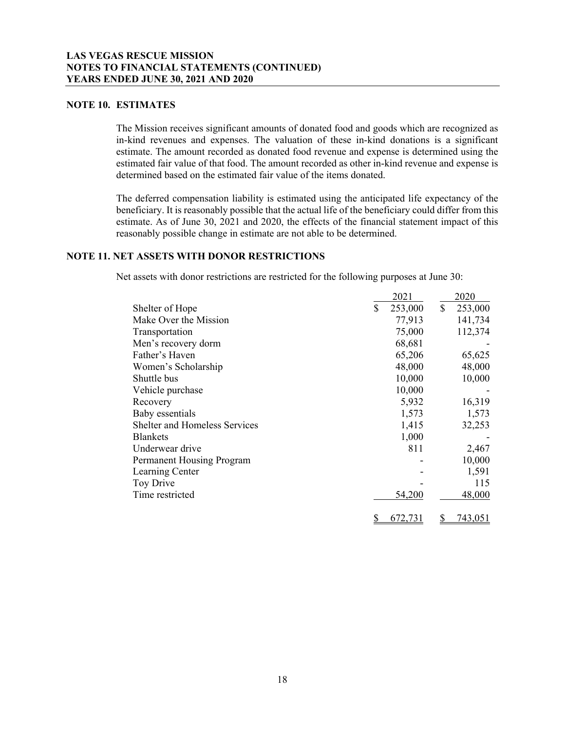#### **NOTE 10. ESTIMATES**

The Mission receives significant amounts of donated food and goods which are recognized as in-kind revenues and expenses. The valuation of these in-kind donations is a significant estimate. The amount recorded as donated food revenue and expense is determined using the estimated fair value of that food. The amount recorded as other in-kind revenue and expense is determined based on the estimated fair value of the items donated.

The deferred compensation liability is estimated using the anticipated life expectancy of the beneficiary. It is reasonably possible that the actual life of the beneficiary could differ from this estimate. As of June 30, 2021 and 2020, the effects of the financial statement impact of this reasonably possible change in estimate are not able to be determined.

### **NOTE 11. NET ASSETS WITH DONOR RESTRICTIONS**

Net assets with donor restrictions are restricted for the following purposes at June 30:

|                                      | 2021          |    | 2020    |
|--------------------------------------|---------------|----|---------|
| Shelter of Hope                      | \$<br>253,000 | \$ | 253,000 |
| Make Over the Mission                | 77,913        |    | 141,734 |
| Transportation                       | 75,000        |    | 112,374 |
| Men's recovery dorm                  | 68,681        |    |         |
| Father's Haven                       | 65,206        |    | 65,625  |
| Women's Scholarship                  | 48,000        |    | 48,000  |
| Shuttle bus                          | 10,000        |    | 10,000  |
| Vehicle purchase                     | 10,000        |    |         |
| Recovery                             | 5,932         |    | 16,319  |
| Baby essentials                      | 1,573         |    | 1,573   |
| <b>Shelter and Homeless Services</b> | 1,415         |    | 32,253  |
| <b>Blankets</b>                      | 1,000         |    |         |
| Underwear drive                      | 811           |    | 2,467   |
| Permanent Housing Program            |               |    | 10,000  |
| Learning Center                      |               |    | 1,591   |
| Toy Drive                            |               |    | 115     |
| Time restricted                      | 54,200        |    | 48,000  |
|                                      | \$<br>672,731 | S  | 743,051 |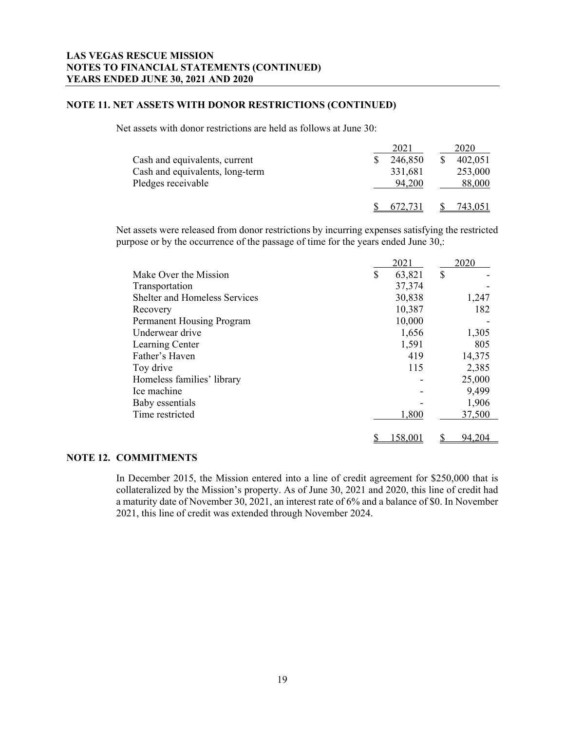## **NOTE 11. NET ASSETS WITH DONOR RESTRICTIONS (CONTINUED)**

Net assets with donor restrictions are held as follows at June 30:

|                                 | 2021    | 2020           |
|---------------------------------|---------|----------------|
| Cash and equivalents, current   | 246,850 | 402,051        |
| Cash and equivalents, long-term | 331,681 | 253,000        |
| Pledges receivable              | 94,200  | 88,000         |
|                                 | 672.731 | <u>743,051</u> |

Net assets were released from donor restrictions by incurring expenses satisfying the restricted purpose or by the occurrence of the passage of time for the years ended June 30,:

|                                      | 2021         | 2020   |
|--------------------------------------|--------------|--------|
| Make Over the Mission                | \$<br>63,821 | \$     |
| Transportation                       | 37,374       |        |
| <b>Shelter and Homeless Services</b> | 30,838       | 1,247  |
| Recovery                             | 10,387       | 182    |
| Permanent Housing Program            | 10,000       |        |
| Underwear drive                      | 1,656        | 1,305  |
| Learning Center                      | 1,591        | 805    |
| Father's Haven                       | 419          | 14,375 |
| Toy drive                            | 115          | 2,385  |
| Homeless families' library           |              | 25,000 |
| Ice machine                          |              | 9,499  |
| Baby essentials                      |              | 1,906  |
| Time restricted                      | 1,800        | 37,500 |
|                                      | 158,001      | 94,204 |

### **NOTE 12. COMMITMENTS**

In December 2015, the Mission entered into a line of credit agreement for \$250,000 that is collateralized by the Mission's property. As of June 30, 2021 and 2020, this line of credit had a maturity date of November 30, 2021, an interest rate of 6% and a balance of \$0. In November 2021, this line of credit was extended through November 2024.